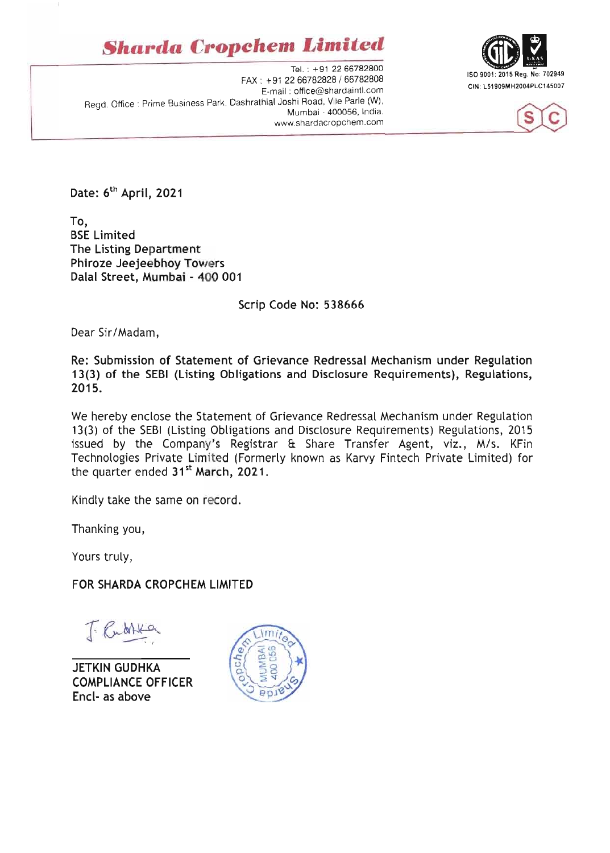## **Sharda Cropchem Limited**

Tel.: +91 22 66782800 FAX: +91 22 66782828 / 66782808 E-mail: office@shardaintl.com Read. Office: Prime Business Park, Dashrathlal Joshi Road, Vile Parle (W), Mumbai - 400056, India. www.shardacropchem.com





Date: 6<sup>th</sup> April, 2021

To, **BSE Limited** The Listing Department Phiroze Jeejeebhoy Towers Dalal Street, Mumbai - 400 001

Scrip Code No: 538666

Dear Sir/Madam,

Re: Submission of Statement of Grievance Redressal Mechanism under Regulation 13(3) of the SEBI (Listing Obligations and Disclosure Requirements), Regulations, 2015.

We hereby enclose the Statement of Grievance Redressal Mechanism under Regulation 13(3) of the SEBI (Listing Obligations and Disclosure Requirements) Regulations, 2015 issued by the Company's Registrar & Share Transfer Agent, viz., M/s. KFin Technologies Private Limited (Formerly known as Karvy Fintech Private Limited) for the quarter ended 31<sup>st</sup> March, 2021.

Kindly take the same on record.

Thanking you,

Yours truly,

FOR SHARDA CROPCHEM LIMITED

**JETKIN GUDHKA COMPLIANCE OFFICER** Encl- as above